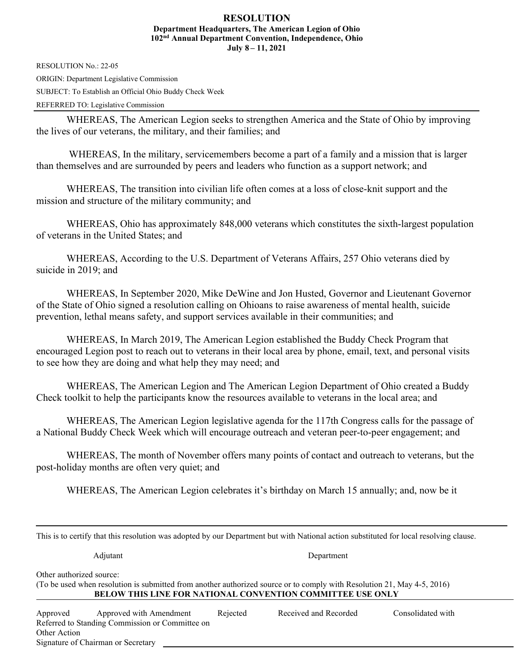## **RESOLUTION Department Headquarters, The American Legion of Ohio 102nd Annual Department Convention, Independence, Ohio July 8 – 11, 2021**

RESOLUTION No.: 22-05 ORIGIN: Department Legislative Commission SUBJECT: To Establish an Official Ohio Buddy Check Week REFERRED TO: Legislative Commission

WHEREAS, The American Legion seeks to strengthen America and the State of Ohio by improving the lives of our veterans, the military, and their families; and

 WHEREAS, In the military, servicemembers become a part of a family and a mission that is larger than themselves and are surrounded by peers and leaders who function as a support network; and

WHEREAS, The transition into civilian life often comes at a loss of close-knit support and the mission and structure of the military community; and

WHEREAS, Ohio has approximately 848,000 veterans which constitutes the sixth-largest population of veterans in the United States; and

WHEREAS, According to the U.S. Department of Veterans Affairs, 257 Ohio veterans died by suicide in 2019; and

WHEREAS, In September 2020, Mike DeWine and Jon Husted, Governor and Lieutenant Governor of the State of Ohio signed a resolution calling on Ohioans to raise awareness of mental health, suicide prevention, lethal means safety, and support services available in their communities; and

WHEREAS, In March 2019, The American Legion established the Buddy Check Program that encouraged Legion post to reach out to veterans in their local area by phone, email, text, and personal visits to see how they are doing and what help they may need; and

WHEREAS, The American Legion and The American Legion Department of Ohio created a Buddy Check toolkit to help the participants know the resources available to veterans in the local area; and

WHEREAS, The American Legion legislative agenda for the 117th Congress calls for the passage of a National Buddy Check Week which will encourage outreach and veteran peer-to-peer engagement; and

WHEREAS, The month of November offers many points of contact and outreach to veterans, but the post-holiday months are often very quiet; and

WHEREAS, The American Legion celebrates it's birthday on March 15 annually; and, now be it

| This is to certify that this resolution was adopted by our Department but with National action substituted for local resolving clause.                                                                                   |                                                                                                                  |          |                       |                   |  |  |  |  |
|--------------------------------------------------------------------------------------------------------------------------------------------------------------------------------------------------------------------------|------------------------------------------------------------------------------------------------------------------|----------|-----------------------|-------------------|--|--|--|--|
|                                                                                                                                                                                                                          | Adjutant                                                                                                         |          | Department            |                   |  |  |  |  |
| Other authorized source:<br>(To be used when resolution is submitted from another authorized source or to comply with Resolution 21, May 4-5, 2016)<br><b>BELOW THIS LINE FOR NATIONAL CONVENTION COMMITTEE USE ONLY</b> |                                                                                                                  |          |                       |                   |  |  |  |  |
| Approved<br>Other Action                                                                                                                                                                                                 | Approved with Amendment<br>Referred to Standing Commission or Committee on<br>Signature of Chairman or Secretary | Rejected | Received and Recorded | Consolidated with |  |  |  |  |